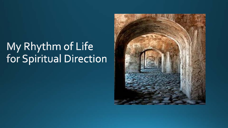# My Rhythm of Life<br>for Spiritual Direction

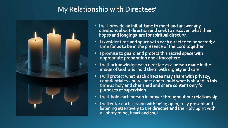## My Relationship with Directees'



- I will provide an initial time to meet and answer any<br>questions about direction and seek to discover what their hopes and longings are for spiritual direction
- I consider time and space with each directee to be sacred; a<br>time for us to be in the presence of the Lord together
- I promise to quard and protect this sacred space with appropriate preparation and atmosphere
- I will acknowledge each directee as a person made in the image of God and hold them with dignity and care
- I will protect what each directee may share with privacy,  $\bullet$ confidentiality and respect and to hold what is shared in this time as holy and cherished and share content only for purposes of supervision
- I will hold each person in prayer throughout our relationship
- I will enter each session with being open, fully present and<br>listening attentively to the directee and the Holy Spirit with  $\bullet$ all of my mind, heart and soul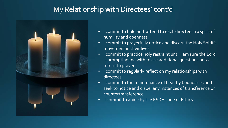### My Relationship with Directees' cont'd



- I commit to hold and attend to each directee in a spirit of humility and openness
- I commit to prayerfully notice and discern the Holy Spirit's movement in their lives
- I commit to practice holy restraint until I am sure the Lord is prompting me with to ask additional questions or to return to prayer
- I commit to regularly reflect on my relationships with directees'
- I commit to the maintenance of healthy boundaries and seek to notice and dispel any instances of transference or countertransference
- I commit to abide by the ESDA code of Ethics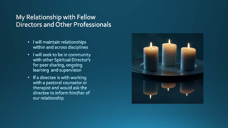#### My Relationship with Fellow **Directors and Other Professionals**

- I will maintain relationships within and across disciplines
- I will seek to be in community with other Spiritual Director's for peer sharing, ongoing learning and supervision
- If a directee is with working with a pastoral counselor or therapist and would ask the directee to inform him/her of our relationship

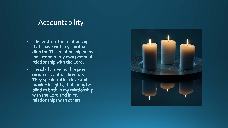#### Accountability

- I depend on the relationship  $\bullet$  . that I have with my spiritual director. This relationship helps me attend to my own personal relationship with the Lord.
- I regularly meet with a peer  $\bullet$ group of spiritual directors. They speak truth in love and provide insights, that I may be blind to both in my relationship with the Lord and in my relationships with others.